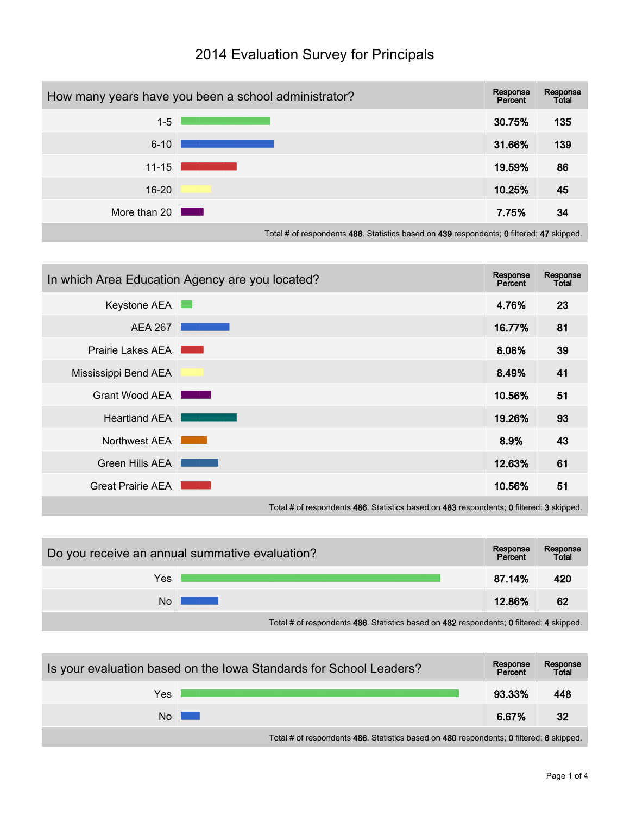

## 2014 Evaluation Survey for Principals

Total # of respondents 486. Statistics based on 439 respondents; 0 filtered; 47 skipped.

|                          | In which Area Education Agency are you located?                                                                | Response<br>Percent | Response<br>Total |
|--------------------------|----------------------------------------------------------------------------------------------------------------|---------------------|-------------------|
| Keystone AEA             | <b>College</b>                                                                                                 | 4.76%               | 23                |
| <b>AEA 267</b>           |                                                                                                                | 16.77%              | 81                |
| <b>Prairie Lakes AEA</b> | and the state of the state of the state of the state of the state of the state of the state of the state of th | 8.08%               | 39                |
| Mississippi Bend AEA     |                                                                                                                | 8.49%               | 41                |
| <b>Grant Wood AEA</b>    |                                                                                                                | 10.56%              | 51                |
| <b>Heartland AEA</b>     |                                                                                                                | 19.26%              | 93                |
| Northwest AEA            |                                                                                                                | 8.9%                | 43                |
| Green Hills AEA          |                                                                                                                | 12.63%              | 61                |
| <b>Great Prairie AEA</b> |                                                                                                                | 10.56%              | 51                |
|                          |                                                                                                                |                     |                   |

Total # of respondents 486. Statistics based on 483 respondents; 0 filtered; 3 skipped.

| Do you receive an annual summative evaluation? |                                                                                         |        | Response<br>Total |
|------------------------------------------------|-----------------------------------------------------------------------------------------|--------|-------------------|
| Yes                                            |                                                                                         | 87.14% | 420               |
| No                                             |                                                                                         | 12.86% | 62                |
|                                                | Total # of respondents 486. Statistics based on 482 respondents; 0 filtered; 4 skipped. |        |                   |

| Is your evaluation based on the Iowa Standards for School Leaders? |                                                                                         |        | Response<br>Total |
|--------------------------------------------------------------------|-----------------------------------------------------------------------------------------|--------|-------------------|
| Yes                                                                |                                                                                         | 93.33% | 448               |
| No                                                                 |                                                                                         | 6.67%  | -32               |
|                                                                    | Total # of respondents 486. Statistics based on 480 respondents; 0 filtered; 6 skipped. |        |                   |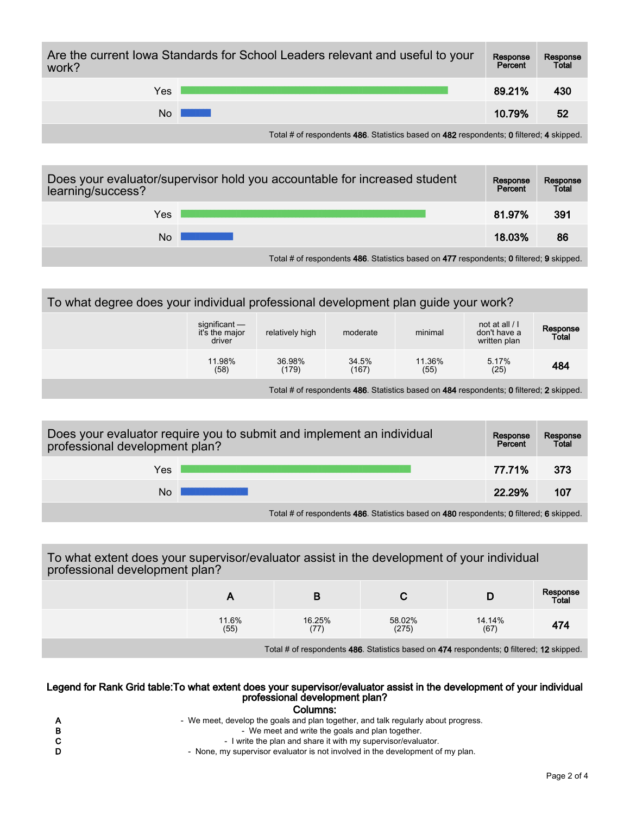| Are the current lowa Standards for School Leaders relevant and useful to your<br>work? | Response<br>Percent | Response<br>Total |     |
|----------------------------------------------------------------------------------------|---------------------|-------------------|-----|
| Yes                                                                                    |                     | 89.21%            | 430 |
| N <sub>0</sub>                                                                         |                     | 10.79%            | 52  |

Total # of respondents 486. Statistics based on 482 respondents; 0 filtered; 4 skipped.

| Does your evaluator/supervisor hold you accountable for increased student<br>learning/success? |  |        | Response<br>Total |
|------------------------------------------------------------------------------------------------|--|--------|-------------------|
| Yes                                                                                            |  | 81.97% | 391               |
| No                                                                                             |  | 18.03% | 86                |
|                                                                                                |  |        |                   |

Total # of respondents 486. Statistics based on 477 respondents; 0 filtered; 9 skipped.

## To what degree does your individual professional development plan guide your work?

| significant —<br>it's the major<br>driver | relatively high | moderate       | minimal                                                                                      | not at all $/$ I<br>don't have a<br>written plan | Response<br>Total |
|-------------------------------------------|-----------------|----------------|----------------------------------------------------------------------------------------------|--------------------------------------------------|-------------------|
| 11.98%<br>(58)                            | 36.98%<br>(179) | 34.5%<br>(167) | 11.36%<br>(55)                                                                               | 5.17%<br>(25)                                    | 484               |
|                                           |                 |                | Tetal Historia conditato 400. Otatistico benedicto 404 accordinator 0 filtron di 0 eliginizi |                                                  |                   |

Total # of respondents 486. Statistics based on 484 respondents; 0 filtered; 2 skipped.

| Does your evaluator require you to submit and implement an individual<br>professional development plan? |  |        | Response<br>Total |
|---------------------------------------------------------------------------------------------------------|--|--------|-------------------|
| Yes                                                                                                     |  | 77.71% | 373               |
| No                                                                                                      |  | 22.29% | 107               |
|                                                                                                         |  |        |                   |

Total # of respondents 486. Statistics based on 480 respondents; 0 filtered; 6 skipped.

## To what extent does your supervisor/evaluator assist in the development of your individual professional development plan?

|               |                |                                                                                          |                | Response<br>Total |
|---------------|----------------|------------------------------------------------------------------------------------------|----------------|-------------------|
| 11.6%<br>(55) | 16.25%<br>(77) | 58.02%<br>(275)                                                                          | 14.14%<br>(67) | 474               |
|               |                | Total # of respondents 486. Statistics based on 474 respondents; 0 filtered; 12 skipped. |                |                   |

## Legend for Rank Grid table:To what extent does your supervisor/evaluator assist in the development of your individual professional development plan?

| Columns: |  |
|----------|--|
|----------|--|

|    | - We meet, develop the goals and plan together, and talk regularly about progress. |
|----|------------------------------------------------------------------------------------|
| в  | - We meet and write the goals and plan together.                                   |
| C. | - I write the plan and share it with my supervisor/evaluator.                      |
| D  | - None, my supervisor evaluator is not involved in the development of my plan.     |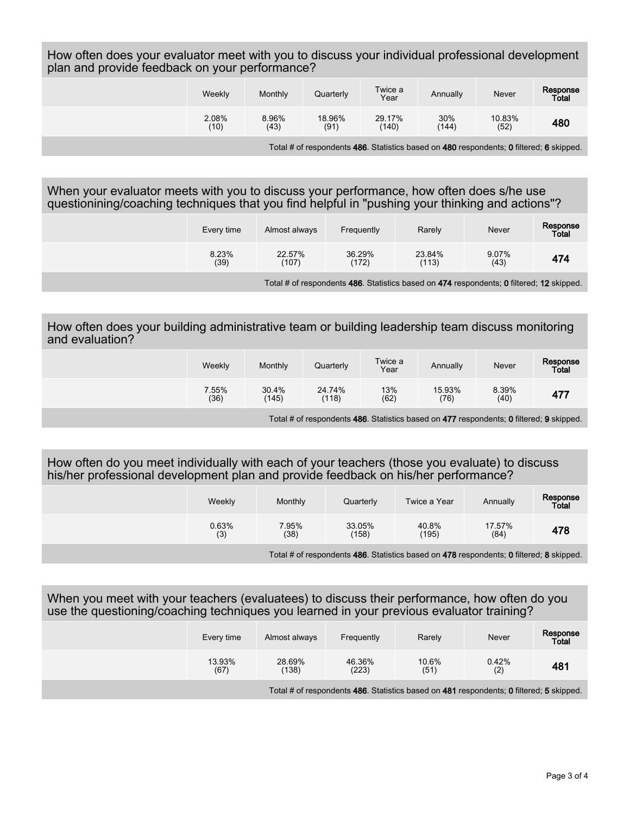How often does your evaluator meet with you to discuss your individual professional development plan and provide feedback on your performance?

|                                                                                         | Weekly        | Monthly       | Quarterly      | Twice a<br>Year | Annually     | Never          | Response<br>Total |
|-----------------------------------------------------------------------------------------|---------------|---------------|----------------|-----------------|--------------|----------------|-------------------|
|                                                                                         | 2.08%<br>(10) | 8.96%<br>(43) | 18.96%<br>(91) | 29.17%<br>(140) | 30%<br>(144) | 10.83%<br>(52) | 480               |
| Total # of respondents 486. Statistics based on 480 respondents; 0 filtered; 6 skipped. |               |               |                |                 |              |                |                   |

When your evaluator meets with you to discuss your performance, how often does s/he use questionining/coaching techniques that you find helpful in "pushing your thinking and actions"?

|                                                                                          | Every time    | Almost always   | Frequently      | Rarely          | <b>Never</b>  | Response<br>Total |
|------------------------------------------------------------------------------------------|---------------|-----------------|-----------------|-----------------|---------------|-------------------|
|                                                                                          | 8.23%<br>(39) | 22.57%<br>(107) | 36.29%<br>(172) | 23.84%<br>(113) | 9.07%<br>(43) | 474               |
| Total # of respondents 486. Statistics based on 474 respondents; 0 filtered; 12 skipped. |               |                 |                 |                 |               |                   |

How often does your building administrative team or building leadership team discuss monitoring and evaluation?

|                                                                                         | Weekly        | Monthly        | Quarterly       | Twice a<br>Year | Annually       | Never         | Response<br>Total |
|-----------------------------------------------------------------------------------------|---------------|----------------|-----------------|-----------------|----------------|---------------|-------------------|
|                                                                                         | 7.55%<br>(36) | 30.4%<br>(145) | 24.74%<br>(118) | 13%<br>(62)     | 15.93%<br>(76) | 8.39%<br>(40) | 477               |
| Total # of respondents 486. Statistics based on 477 respondents; 0 filtered; 9 skipped. |               |                |                 |                 |                |               |                   |

How often do you meet individually with each of your teachers (those you evaluate) to discuss his/her professional development plan and provide feedback on his/her performance?

|                                                                                      | Weekly       | Monthly       | Quarterly       | Twice a Year   | Annually       | Response<br>Total |
|--------------------------------------------------------------------------------------|--------------|---------------|-----------------|----------------|----------------|-------------------|
|                                                                                      | 0.63%<br>(3) | 7.95%<br>(38) | 33.05%<br>(158) | 40.8%<br>(195) | 17.57%<br>(84) | 478               |
| Total II of accordance 400. Otalialize because 470 accordants. Officeral, Oakingsal. |              |               |                 |                |                |                   |

Total # of respondents 486. Statistics based on 478 respondents; 0 filtered; 8 skipped.

When you meet with your teachers (evaluatees) to discuss their performance, how often do you use the questioning/coaching techniques you learned in your previous evaluator training?

| Every time     | Almost always   | Frequently      | Rarely                                                                                  | Never        | Response<br><b>Total</b> |
|----------------|-----------------|-----------------|-----------------------------------------------------------------------------------------|--------------|--------------------------|
| 13.93%<br>(67) | 28.69%<br>(138) | 46.36%<br>(223) | 10.6%<br>(51)                                                                           | 0.42%<br>(2) | 481                      |
|                |                 |                 | Total # of respondents 486. Statistics based on 481 respondents; 0 filtered; 5 skipped. |              |                          |